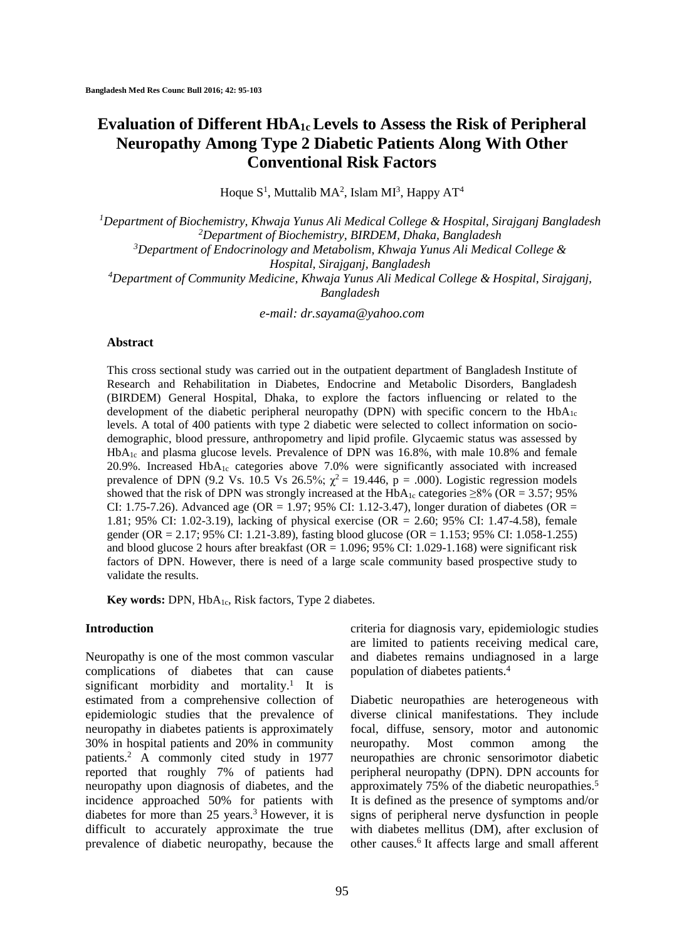# **Evaluation of Different HbA1cLevels to Assess the Risk of Peripheral Neuropathy Among Type 2 Diabetic Patients Along With Other Conventional Risk Factors**

Hoque  $S^1$ , Muttalib MA<sup>2</sup>, Islam MI<sup>3</sup>, Happy AT<sup>4</sup>

*Department of Biochemistry, Khwaja Yunus Ali Medical College & Hospital, Sirajganj Bangladesh Department of Biochemistry, BIRDEM, Dhaka, Bangladesh Department of Endocrinology and Metabolism, Khwaja Yunus Ali Medical College & Hospital, Sirajganj, Bangladesh Department of Community Medicine, Khwaja Yunus Ali Medical College & Hospital, Sirajganj, Bangladesh*

*e-mail: dr.sayama@yahoo.com*

#### **Abstract**

This cross sectional study was carried out in the outpatient department of Bangladesh Institute of Research and Rehabilitation in Diabetes, Endocrine and Metabolic Disorders, Bangladesh (BIRDEM) General Hospital, Dhaka, to explore the factors influencing or related to the development of the diabetic peripheral neuropathy (DPN) with specific concern to the  $HbA_{1c}$ levels. A total of 400 patients with type 2 diabetic were selected to collect information on sociodemographic, blood pressure, anthropometry and lipid profile. Glycaemic status was assessed by HbA1c and plasma glucose levels. Prevalence of DPN was 16.8%, with male 10.8% and female 20.9%. Increased  $HbA_{1c}$  categories above 7.0% were significantly associated with increased prevalence of DPN (9.2 Vs. 10.5 Vs 26.5%;  $\chi^2$  = 19.446, p = .000). Logistic regression models showed that the risk of DPN was strongly increased at the  $HbA_{1c}$  categories  $\geq 8\%$  (OR = 3.57; 95% CI: 1.75-7.26). Advanced age (OR = 1.97; 95% CI: 1.12-3.47), longer duration of diabetes (OR = 1.81; 95% CI: 1.02-3.19), lacking of physical exercise (OR = 2.60; 95% CI: 1.47-4.58), female gender (OR = 2.17; 95% CI: 1.21-3.89), fasting blood glucose (OR = 1.153; 95% CI: 1.058-1.255) and blood glucose 2 hours after breakfast (OR =  $1.096$ ; 95% CI: 1.029-1.168) were significant risk factors of DPN. However, there is need of a large scale community based prospective study to validate the results.

Key words: DPN, HbA<sub>1c</sub>, Risk factors, Type 2 diabetes.

#### **Introduction**

Neuropathy is one of the most common vascular complications of diabetes that can cause significant morbidity and mortality.<sup>1</sup> It is estimated from a comprehensive collection of epidemiologic studies that the prevalence of neuropathy in diabetes patients is approximately 30% in hospital patients and 20% in community patients. <sup>2</sup> A commonly cited study in 1977 reported that roughly 7% of patients had neuropathy upon diagnosis of diabetes, and the incidence approached 50% for patients with diabetes for more than 25 years. <sup>3</sup> However, it is difficult to accurately approximate the true prevalence of diabetic neuropathy, because the

criteria for diagnosis vary, epidemiologic studies are limited to patients receiving medical care, and diabetes remains undiagnosed in a large population of diabetes patients. 4

Diabetic neuropathies are heterogeneous with diverse clinical manifestations. They include focal, diffuse, sensory, motor and autonomic neuropathy. Most common among the neuropathies are chronic sensorimotor diabetic peripheral neuropathy (DPN). DPN accounts for approximately 75% of the diabetic neuropathies. 5 It is defined as the presence of symptoms and/or signs of peripheral nerve dysfunction in people with diabetes mellitus (DM), after exclusion of other causes. 6 It affects large and small afferent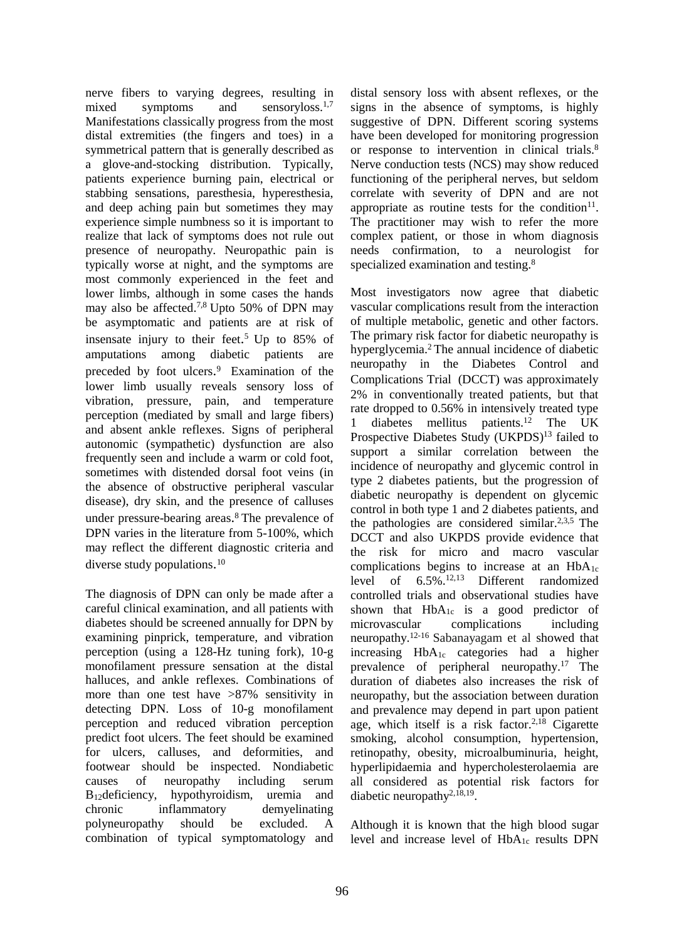nerve fibers to varying degrees, resulting in mixed symptoms and sensoryloss.<sup>1,7</sup> Manifestations classically progress from the most distal extremities (the fingers and toes) in a symmetrical pattern that is generally described as a glove-and-stocking distribution. Typically, patients experience burning pain, electrical or stabbing sensations, paresthesia, hyperesthesia, and deep aching pain but sometimes they may experience simple numbness so it is important to realize that lack of symptoms does not rule out presence of neuropathy. Neuropathic pain is typically worse at night, and the symptoms are most commonly experienced in the feet and lower limbs, although in some cases the hands may also be affected. 7,8 Upto 50% of DPN may be asymptomatic and patients are at risk of insensate injury to their feet. <sup>5</sup> Up to 85% of amputations among diabetic patients are preceded by foot ulcers.<sup>9</sup> Examination of the lower limb usually reveals sensory loss of vibration, pressure, pain, and temperature perception (mediated by small and large fibers) and absent ankle reflexes. Signs of peripheral autonomic (sympathetic) dysfunction are also frequently seen and include a warm or cold foot, sometimes with distended dorsal foot veins (in the absence of obstructive peripheral vascular disease), dry skin, and the presence of calluses under pressure-bearing areas. <sup>8</sup> The prevalence of DPN varies in the literature from 5-100%, which may reflect the different diagnostic criteria and diverse study populations.<sup>10</sup>

The diagnosis of DPN can only be made after a careful clinical examination, and all patients with diabetes should be screened annually for DPN by examining pinprick, temperature, and vibration perception (using a 128-Hz tuning fork), 10-g monofilament pressure sensation at the distal halluces, and ankle reflexes. Combinations of more than one test have >87% sensitivity in detecting DPN. Loss of 10-g monofilament perception and reduced vibration perception predict foot ulcers. The feet should be examined for ulcers, calluses, and deformities, and footwear should be inspected. Nondiabetic causes of neuropathy including serum B12deficiency, hypothyroidism, uremia and chronic inflammatory demyelinating polyneuropathy should be excluded. A combination of typical symptomatology and distal sensory loss with absent reflexes, or the signs in the absence of symptoms, is highly suggestive of DPN. Different scoring systems have been developed for monitoring progression or response to intervention in clinical trials. 8 Nerve conduction tests (NCS) may show reduced functioning of the peripheral nerves, but seldom correlate with severity of DPN and are not appropriate as routine tests for the condition $11$ . The practitioner may wish to refer the more complex patient, or those in whom diagnosis needs confirmation, to a neurologist for specialized examination and testing.<sup>8</sup>

Most investigators now agree that diabetic vascular complications result from the interaction of multiple metabolic, genetic and other factors. The primary risk factor for diabetic neuropathy is hyperglycemia. <sup>2</sup> The annual incidence of diabetic neuropathy in the Diabetes Control and Complications Trial (DCCT) was approximately 2% in conventionally treated patients, but that rate dropped to 0.56% in intensively treated type 1 diabetes mellitus patients. <sup>12</sup> The UK Prospective Diabetes Study (UKPDS)<sup>13</sup> failed to support a similar correlation between the incidence of neuropathy and glycemic control in type 2 diabetes patients, but the progression of diabetic neuropathy is dependent on glycemic control in both type 1 and 2 diabetes patients, and the pathologies are considered similar. 2,3,5 The DCCT and also UKPDS provide evidence that the risk for micro and macro vascular complications begins to increase at an  $HbA_{1c}$ level of 6.5%. 12,13 Different randomized controlled trials and observational studies have shown that  $HbA_{1c}$  is a good predictor of microvascular complications including neuropathy. 12-16 Sabanayagam et al showed that increasing HbA1c categories had a higher prevalence of peripheral neuropathy. <sup>17</sup> The duration of diabetes also increases the risk of neuropathy, but the association between duration and prevalence may depend in part upon patient age, which itself is a risk factor. 2,18 Cigarette smoking, alcohol consumption, hypertension, retinopathy, obesity, microalbuminuria, height, hyperlipidaemia and hypercholesterolaemia are all considered as potential risk factors for diabetic neuropathy<sup>2,18,19</sup>.

Although it is known that the high blood sugar level and increase level of  $HbA_{1c}$  results DPN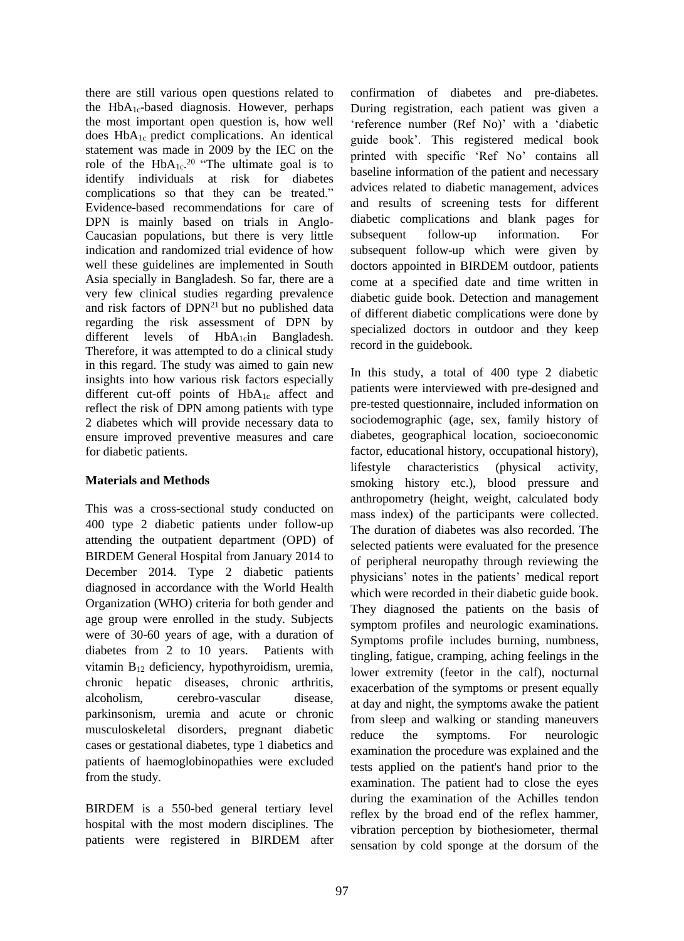there are still various open questions related to the HbA1c-based diagnosis. However, perhaps the most important open question is, how well does HbA1c predict complications. An identical statement was made in 2009 by the IEC on the role of the  $HbA_{1c}^{20}$  "The ultimate goal is to identify individuals at risk for diabetes complications so that they can be treated." Evidence-based recommendations for care of DPN is mainly based on trials in Anglo-Caucasian populations, but there is very little indication and randomized trial evidence of how well these guidelines are implemented in South Asia specially in Bangladesh. So far, there are a very few clinical studies regarding prevalence and risk factors of  $DPN<sup>21</sup>$  but no published data regarding the risk assessment of DPN by different levels of HbA<sub>1c</sub>in Bangladesh. Therefore, it was attempted to do a clinical study in this regard. The study was aimed to gain new insights into how various risk factors especially different cut-off points of HbA<sub>1c</sub> affect and reflect the risk of DPN among patients with type 2 diabetes which will provide necessary data to ensure improved preventive measures and care for diabetic patients.

## **Materials and Methods**

This was a cross-sectional study conducted on 400 type 2 diabetic patients under follow-up attending the outpatient department (OPD) of BIRDEM General Hospital from January 2014 to December 2014. Type 2 diabetic patients diagnosed in accordance with the World Health Organization (WHO) criteria for both gender and age group were enrolled in the study. Subjects were of 30-60 years of age, with a duration of diabetes from 2 to 10 years. Patients with vitamin B<sup>12</sup> deficiency, hypothyroidism, uremia, chronic hepatic diseases, chronic arthritis, alcoholism, cerebro-vascular disease, parkinsonism, uremia and acute or chronic musculoskeletal disorders, pregnant diabetic cases or gestational diabetes, type 1 diabetics and patients of haemoglobinopathies were excluded from the study.

BIRDEM is a 550-bed general tertiary level hospital with the most modern disciplines. The patients were registered in BIRDEM after

confirmation of diabetes and pre-diabetes. During registration, each patient was given a 'reference number (Ref No)' with a 'diabetic guide book'. This registered medical book printed with specific 'Ref No' contains all baseline information of the patient and necessary advices related to diabetic management, advices and results of screening tests for different diabetic complications and blank pages for subsequent follow-up information. For subsequent follow-up which were given by doctors appointed in BIRDEM outdoor, patients come at a specified date and time written in diabetic guide book. Detection and management of different diabetic complications were done by specialized doctors in outdoor and they keep record in the guidebook.

In this study, a total of 400 type 2 diabetic patients were interviewed with pre-designed and pre-tested questionnaire, included information on sociodemographic (age, sex, family history of diabetes, geographical location, socioeconomic factor, educational history, occupational history), lifestyle characteristics (physical activity, smoking history etc.), blood pressure and anthropometry (height, weight, calculated body mass index) of the participants were collected. The duration of diabetes was also recorded. The selected patients were evaluated for the presence of peripheral neuropathy through reviewing the physicians' notes in the patients' medical report which were recorded in their diabetic guide book. They diagnosed the patients on the basis of symptom profiles and neurologic examinations. Symptoms profile includes burning, numbness, tingling, fatigue, cramping, aching feelings in the lower extremity (feetor in the calf), nocturnal exacerbation of the symptoms or present equally at day and night, the symptoms awake the patient from sleep and walking or standing maneuvers reduce the symptoms. For neurologic examination the procedure was explained and the tests applied on the patient's hand prior to the examination. The patient had to close the eyes during the examination of the Achilles tendon reflex by the broad end of the reflex hammer, vibration perception by biothesiometer, thermal sensation by cold sponge at the dorsum of the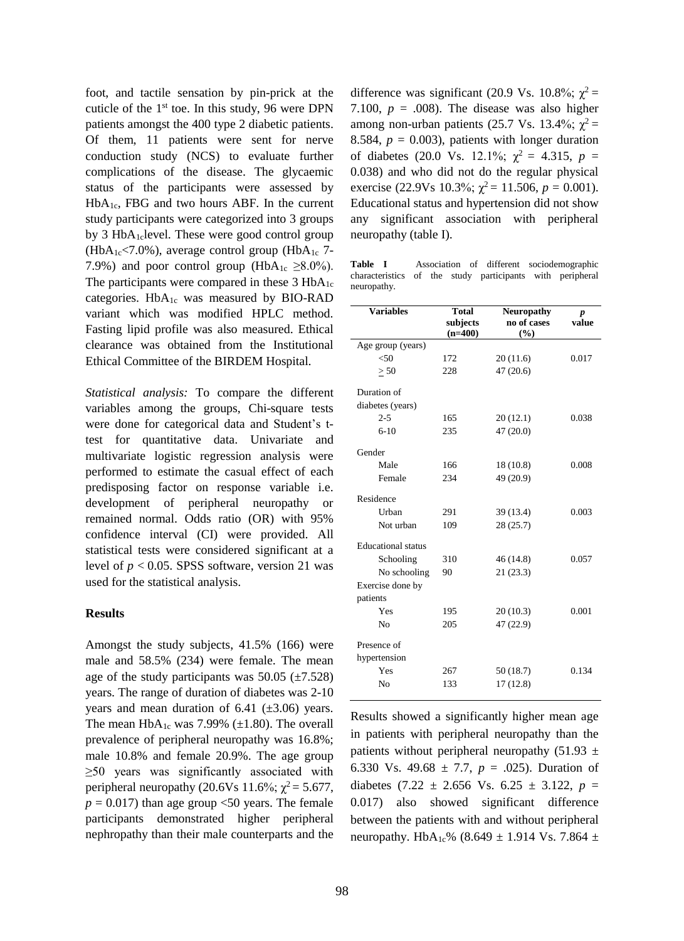foot, and tactile sensation by pin-prick at the cuticle of the  $1<sup>st</sup>$  toe. In this study, 96 were DPN patients amongst the 400 type 2 diabetic patients. Of them, 11 patients were sent for nerve conduction study (NCS) to evaluate further complications of the disease. The glycaemic status of the participants were assessed by  $HbA_{1c}$ , FBG and two hours ABF. In the current study participants were categorized into 3 groups by 3  $HbA_1$ clevel. These were good control group (HbA<sub>1c</sub> $\langle 7.0\%$ ), average control group (HbA<sub>1c</sub> 7-7.9%) and poor control group (HbA<sub>1c</sub>  $\geq$ 8.0%). The participants were compared in these  $3 HbA_{1c}$ categories. HbA1c was measured by BIO-RAD variant which was modified HPLC method. Fasting lipid profile was also measured. Ethical clearance was obtained from the Institutional Ethical Committee of the BIRDEM Hospital.

*Statistical analysis:* To compare the different variables among the groups, Chi-square tests were done for categorical data and Student's ttest for quantitative data. Univariate and multivariate logistic regression analysis were performed to estimate the casual effect of each predisposing factor on response variable i.e. development of peripheral neuropathy or remained normal. Odds ratio (OR) with 95% confidence interval (CI) were provided. All statistical tests were considered significant at a level of  $p < 0.05$ . SPSS software, version 21 was used for the statistical analysis.

### **Results**

Amongst the study subjects, 41.5% (166) were male and 58.5% (234) were female. The mean age of the study participants was  $50.05$  ( $\pm$ 7.528) years. The range of duration of diabetes was 2-10 years and mean duration of  $6.41$  ( $\pm 3.06$ ) years. The mean  $HbA_{1c}$  was 7.99% ( $\pm$ 1.80). The overall prevalence of peripheral neuropathy was 16.8%; male 10.8% and female 20.9%. The age group ≥50 years was significantly associated with peripheral neuropathy (20.6Vs 11.6%;  $χ² = 5.677$ ,  $p = 0.017$ ) than age group <50 years. The female participants demonstrated higher peripheral nephropathy than their male counterparts and the difference was significant (20.9 Vs. 10.8%;  $\chi^2$  = 7.100,  $p = .008$ ). The disease was also higher among non-urban patients (25.7 Vs. 13.4%;  $\chi^2$  = 8.584,  $p = 0.003$ ), patients with longer duration of diabetes (20.0 Vs. 12.1%;  $\chi^2 = 4.315$ ,  $p =$ 0.038) and who did not do the regular physical exercise (22.9Vs 10.3%;  $\chi^2$  = 11.506,  $p = 0.001$ ). Educational status and hypertension did not show any significant association with peripheral neuropathy (table I).

**Table I** Association of different sociodemographic characteristics of the study participants with peripheral neuropathy.

| <b>Variables</b>          | <b>Total</b><br>subjects<br>$(n=400)$ | <b>Neuropathy</b><br>no of cases<br>(%) | p<br>value |
|---------------------------|---------------------------------------|-----------------------------------------|------------|
| Age group (years)         |                                       |                                         |            |
| < 50                      | 172                                   | 20(11.6)                                | 0.017      |
| > 50                      | 228                                   | 47 (20.6)                               |            |
| Duration of               |                                       |                                         |            |
| diabetes (years)          |                                       |                                         |            |
| $2 - 5$                   | 165                                   | 20(12.1)                                | 0.038      |
| $6-10$                    | 235                                   | 47 (20.0)                               |            |
| Gender                    |                                       |                                         |            |
| Male                      | 166                                   | 18 (10.8)                               | 0.008      |
| Female                    | 234                                   | 49 (20.9)                               |            |
| Residence                 |                                       |                                         |            |
| Urban                     | 291                                   | 39 (13.4)                               | 0.003      |
| Not urban                 | 109                                   | 28 (25.7)                               |            |
| <b>Educational</b> status |                                       |                                         |            |
| Schooling                 | 310                                   | 46 (14.8)                               | 0.057      |
| No schooling              | 90                                    | 21(23.3)                                |            |
| Exercise done by          |                                       |                                         |            |
| patients                  |                                       |                                         |            |
| Yes                       | 195                                   | 20(10.3)                                | 0.001      |
| No                        | 205                                   | 47 (22.9)                               |            |
| Presence of               |                                       |                                         |            |
| hypertension              |                                       |                                         |            |
| Yes                       | 267                                   | 50 (18.7)                               | 0.134      |
| No                        | 133                                   | 17 (12.8)                               |            |

Results showed a significantly higher mean age in patients with peripheral neuropathy than the patients without peripheral neuropathy (51.93  $\pm$ 6.330 Vs. 49.68  $\pm$  7.7,  $p = .025$ ). Duration of diabetes  $(7.22 \pm 2.656 \text{ Vs. } 6.25 \pm 3.122, p =$ 0.017) also showed significant difference between the patients with and without peripheral neuropathy. HbA<sub>1c</sub>% (8.649  $\pm$  1.914 Vs. 7.864  $\pm$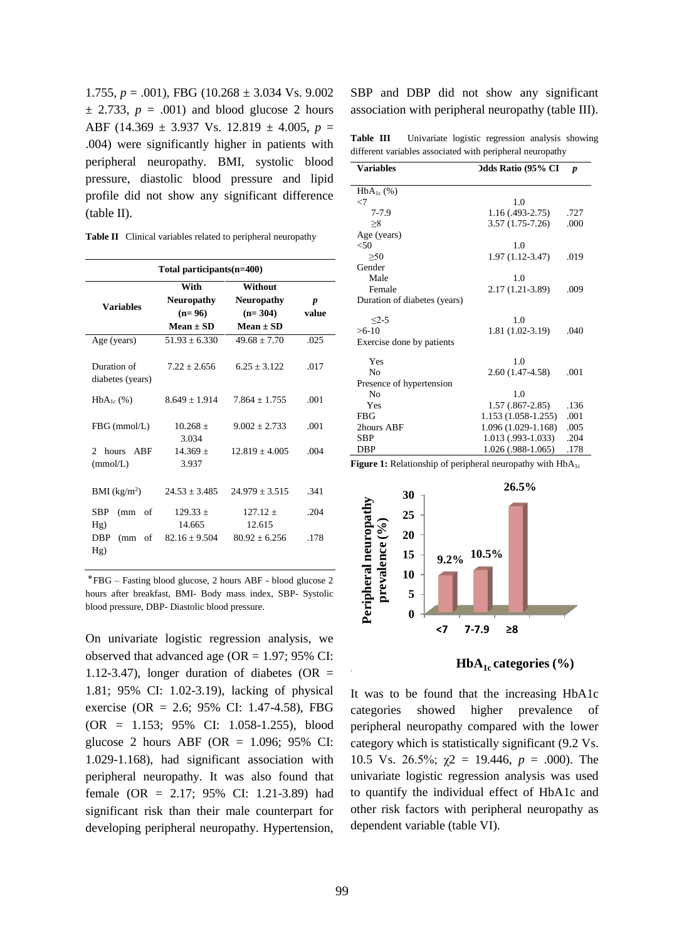1.755,  $p = .001$ ), FBG (10.268  $\pm$  3.034 Vs. 9.002  $\pm$  2.733,  $p = .001$ ) and blood glucose 2 hours ABF (14.369 ± 3.937 Vs. 12.819 ± 4.005, *p* = .004) were significantly higher in patients with peripheral neuropathy. BMI, systolic blood pressure, diastolic blood pressure and lipid profile did not show any significant difference (table II).

| <b>Table II</b> Clinical variables related to peripheral neuropathy |  |
|---------------------------------------------------------------------|--|
|---------------------------------------------------------------------|--|

| Total participants(n=400)                  |                                                        |                                                            |            |  |
|--------------------------------------------|--------------------------------------------------------|------------------------------------------------------------|------------|--|
| <b>Variables</b>                           | With<br><b>Neuropathy</b><br>$(n=96)$<br>$Mean \pm SD$ | Without<br><b>Neuropathy</b><br>$(n=304)$<br>$Mean \pm SD$ | p<br>value |  |
| Age (years)                                | $51.93 + 6.330$                                        | $49.68 \pm 7.70$                                           | .025       |  |
| Duration of<br>diabetes (years)            | $7.22 + 2.656$                                         | $6.25 + 3.122$                                             | .017       |  |
| $HbA_{1c}$ (%)                             | $8.649 \pm 1.914$                                      | $7.864 + 1.755$                                            | .001       |  |
| $FBG$ (mmol/L)                             | $10.268 +$<br>3.034                                    | $9.002 + 2.733$                                            | .001       |  |
| hours<br>$\mathfrak{D}$<br>ABF<br>(mmol/L) | $14.369 +$<br>3.937                                    | $12.819 + 4.005$                                           | .004       |  |
| $BMI$ (kg/m <sup>2</sup> )                 | $24.53 + 3.485$                                        | $24.979 + 3.515$                                           | .341       |  |
| <b>SBP</b><br>(mm<br>οf                    | $129.33 \pm$                                           | $127.12 +$                                                 | .204       |  |
| Hg)<br><b>DBP</b><br>(mm)<br>of            | 14.665<br>$82.16 + 9.504$                              | 12.615<br>$80.92 + 6.256$                                  | .178       |  |
| Hg)                                        |                                                        |                                                            |            |  |

 ⃰FBG – Fasting blood glucose, 2 hours ABF - blood glucose 2 hours after breakfast, BMI- Body mass index, SBP- Systolic blood pressure, DBP- Diastolic blood pressure.

On univariate logistic regression analysis, we observed that advanced age (OR =  $1.97$ ; 95% CI: 1.12-3.47), longer duration of diabetes (OR  $=$ 1.81; 95% CI: 1.02-3.19), lacking of physical exercise (OR = 2.6; 95% CI: 1.47-4.58), FBG (OR = 1.153; 95% CI: 1.058-1.255), blood glucose 2 hours ABF (OR  $= 1.096$ ; 95% CI: 1.029-1.168), had significant association with peripheral neuropathy. It was also found that female (OR = 2.17; 95% CI: 1.21-3.89) had significant risk than their male counterpart for developing peripheral neuropathy. Hypertension, SBP and DBP did not show any significant association with peripheral neuropathy (table III).

**Table III** Univariate logistic regression analysis showing different variables associated with peripheral neuropathy

| <b>Variables</b>             | <b>Odds Ratio (95% CI</b> | $\boldsymbol{p}$ |
|------------------------------|---------------------------|------------------|
|                              |                           |                  |
| $HbA_{1c}$ (%)               |                           |                  |
| $\leq$ 7                     | 1.0                       |                  |
| $7 - 7.9$                    | $1.16(0.493 - 2.75)$      | .727             |
| $\geq 8$                     | $3.57(1.75-7.26)$         | .000             |
| Age (years)                  |                           |                  |
| <50                          | 1.0                       |                  |
| >50                          | $1.97(1.12-3.47)$         | .019             |
| Gender                       |                           |                  |
| Male                         | 1.0                       |                  |
| Female                       | 2.17 (1.21-3.89)          | .009             |
| Duration of diabetes (years) |                           |                  |
|                              |                           |                  |
| $<2-5$                       | 1.0                       |                  |
| $>6-10$                      | 1.81 (1.02-3.19)          | .040             |
| Exercise done by patients    |                           |                  |
| Yes                          | 1.0                       |                  |
| No                           | 2.60 (1.47-4.58)          | .001             |
| Presence of hypertension     |                           |                  |
| No                           | 1.0                       |                  |
| Yes                          | $1.57(.867-2.85)$         | .136             |
| <b>FBG</b>                   | 1.153 (1.058-1.255)       | .001             |
| 2hours ABF                   | 1.096 (1.029-1.168)       | .005             |
| <b>SBP</b>                   | $1.013(0.993-1.033)$      | .204             |
| DBP                          | 1.026 (.988-1.065)        | .178             |
|                              |                           |                  |

**Figure 1:** Relationship of peripheral neuropathy with HbA<sub>1c</sub>



**HbA1c categories (%)**

It was to be found that the increasing HbA1c categories showed higher prevalence of peripheral neuropathy compared with the lower category which is statistically significant (9.2 Vs. 10.5 Vs. 26.5%;  $\chi$ 2 = 19.446,  $p = .000$ ). The univariate logistic regression analysis was used to quantify the individual effect of HbA1c and other risk factors with peripheral neuropathy as dependent variable (table VI).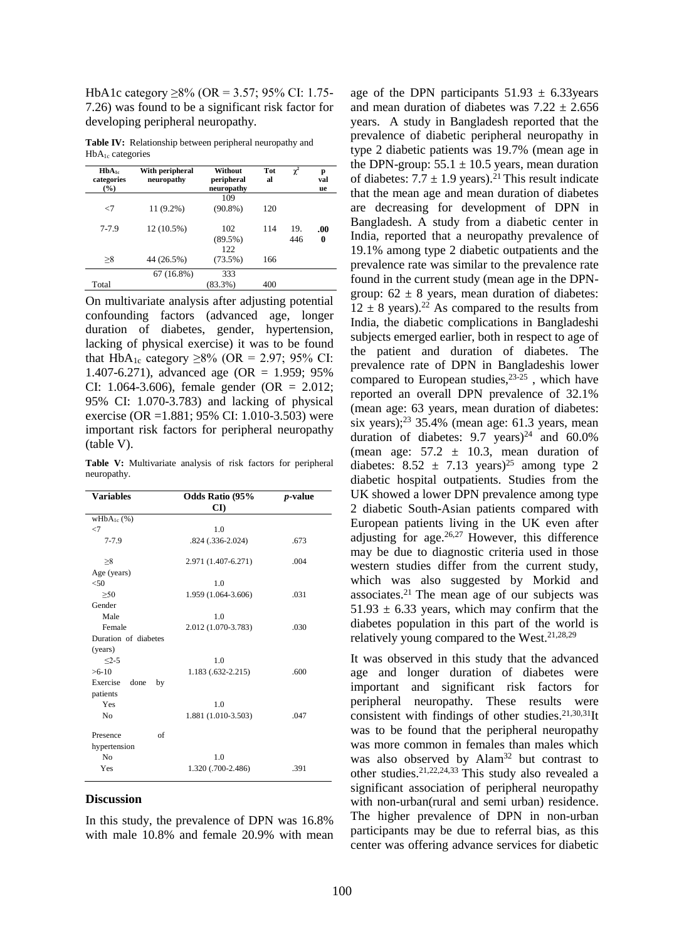HbA1c category ≥8% (OR = 3.57; 95% CI: 1.75- 7.26) was found to be a significant risk factor for developing peripheral neuropathy.

**Table IV:** Relationship between peripheral neuropathy and  $HbA_{1c}$  categories

| $HbA_{1c}$<br>categories<br>(%) | With peripheral<br>neuropathy | Without<br>peripheral<br>neuropathy | <b>Tot</b><br>al | $\chi^2$ | p<br>val<br>ue |
|---------------------------------|-------------------------------|-------------------------------------|------------------|----------|----------------|
|                                 |                               | 109                                 |                  |          |                |
| $\leq$ 7                        | $11(9.2\%)$                   | $(90.8\%)$                          | 120              |          |                |
| $7 - 7.9$                       | 12 (10.5%)                    | 102                                 | 114              | 19.      | $.00 \,$       |
|                                 |                               | (89.5%)                             |                  | 446      | 0              |
|                                 |                               | 122.                                |                  |          |                |
| >8                              | 44 (26.5%)                    | (73.5%)                             | 166              |          |                |
|                                 | 67(16.8%)                     | 333                                 |                  |          |                |
| Total                           |                               | $(83.3\%)$                          | 400              |          |                |

On multivariate analysis after adjusting potential confounding factors (advanced age, longer duration of diabetes, gender, hypertension, lacking of physical exercise) it was to be found that HbA<sub>1c</sub> category ≥8% (OR = 2.97; 95% CI: 1.407-6.271), advanced age (OR = 1.959; 95%) CI: 1.064-3.606), female gender (OR =  $2.012$ ; 95% CI: 1.070-3.783) and lacking of physical exercise (OR =1.881; 95% CI: 1.010-3.503) were important risk factors for peripheral neuropathy (table V).

**Table V:** Multivariate analysis of risk factors for peripheral neuropathy.

| <b>Variables</b>       | <b>Odds Ratio (95%</b><br>CD | <i>p</i> -value |
|------------------------|------------------------------|-----------------|
| $wHbA_{1c}$ (%)        |                              |                 |
| $\leq$                 | 1.0                          |                 |
| $7 - 7.9$              | .824 (.336-2.024)            | .673            |
| >8                     | 2.971 (1.407-6.271)          | .004            |
| Age (years)            |                              |                 |
| < 50                   | 1.0                          |                 |
| >50                    | 1.959 (1.064-3.606)          | .031            |
| Gender                 |                              |                 |
| Male                   | 1.0                          |                 |
| Female                 | 2.012 (1.070-3.783)          | .030            |
| Duration of diabetes   |                              |                 |
| (years)                |                              |                 |
| $<2-5$                 | 1.0                          |                 |
| $>6-10$                | $1.183(.632-2.215)$          | .600            |
| Exercise<br>done<br>by |                              |                 |
| patients               |                              |                 |
| Yes                    | 1.0                          |                 |
| No                     | 1.881 (1.010-3.503)          | .047            |
| of<br>Presence         |                              |                 |
| hypertension           |                              |                 |
| N <sub>0</sub>         | 1.0                          |                 |
| Yes                    | 1.320 (.700-2.486)           | .391            |

#### **Discussion**

In this study, the prevalence of DPN was 16.8% with male 10.8% and female 20.9% with mean

age of the DPN participants  $51.93 \pm 6.33$  years and mean duration of diabetes was  $7.22 \pm 2.656$ years. A study in Bangladesh reported that the prevalence of diabetic peripheral neuropathy in type 2 diabetic patients was 19.7% (mean age in the DPN-group:  $55.1 \pm 10.5$  years, mean duration of diabetes:  $7.7 \pm 1.9$  years).<sup>21</sup> This result indicate that the mean age and mean duration of diabetes are decreasing for development of DPN in Bangladesh. A study from a diabetic center in India, reported that a neuropathy prevalence of 19.1% among type 2 diabetic outpatients and the prevalence rate was similar to the prevalence rate found in the current study (mean age in the DPNgroup:  $62 \pm 8$  years, mean duration of diabetes:  $12 \pm 8$  years).<sup>22</sup> As compared to the results from India, the diabetic complications in Bangladeshi subjects emerged earlier, both in respect to age of the patient and duration of diabetes. The prevalence rate of DPN in Bangladeshis lower compared to European studies, 23-25 , which have reported an overall DPN prevalence of 32.1% (mean age: 63 years, mean duration of diabetes: six years); $2<sup>3</sup>$  35.4% (mean age: 61.3 years, mean duration of diabetes:  $9.7 \text{ years}$ <sup>24</sup> and  $60.0\%$ (mean age:  $57.2 \pm 10.3$ , mean duration of diabetes:  $8.52 \pm 7.13$  years)<sup>25</sup> among type 2 diabetic hospital outpatients. Studies from the UK showed a lower DPN prevalence among type 2 diabetic South-Asian patients compared with European patients living in the UK even after adjusting for age. $26,27$  However, this difference may be due to diagnostic criteria used in those western studies differ from the current study, which was also suggested by Morkid and associates. <sup>21</sup> The mean age of our subjects was  $51.93 \pm 6.33$  years, which may confirm that the diabetes population in this part of the world is relatively young compared to the West. 21,28,29

It was observed in this study that the advanced age and longer duration of diabetes were important and significant risk factors for peripheral neuropathy. These results were consistent with findings of other studies.<sup>21,30,31</sup>It was to be found that the peripheral neuropathy was more common in females than males which was also observed by Alam<sup>32</sup> but contrast to other studies. 21,22,24,33 This study also revealed a significant association of peripheral neuropathy with non-urban(rural and semi urban) residence. The higher prevalence of DPN in non-urban participants may be due to referral bias, as this center was offering advance services for diabetic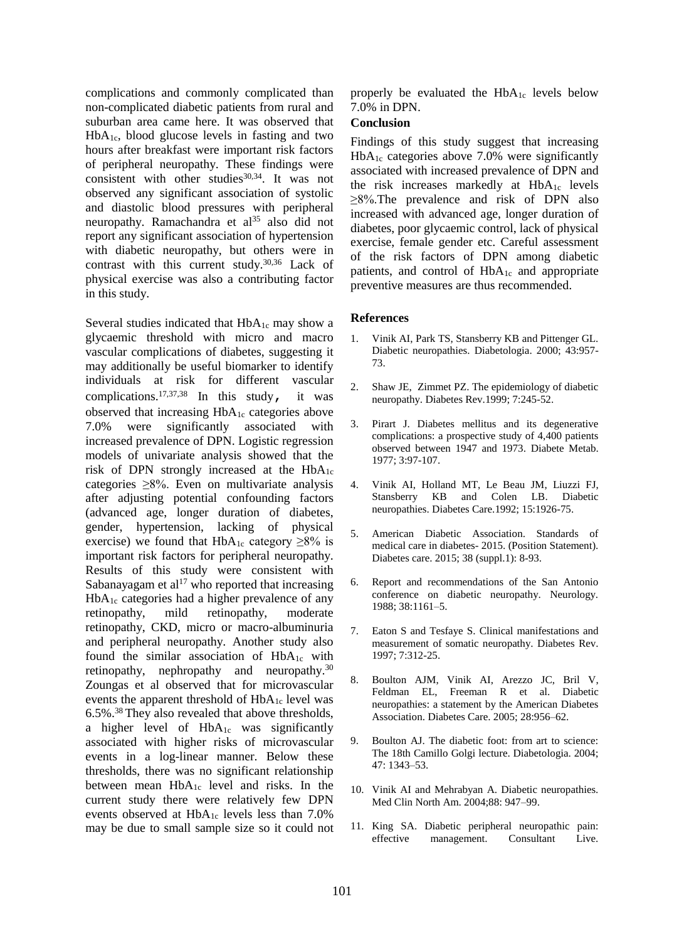complications and commonly complicated than non-complicated diabetic patients from rural and suburban area came here. It was observed that HbA1c, blood glucose levels in fasting and two hours after breakfast were important risk factors of peripheral neuropathy. These findings were consistent with other studies<sup>30,34</sup>. It was not observed any significant association of systolic and diastolic blood pressures with peripheral neuropathy. Ramachandra et al<sup>35</sup> also did not report any significant association of hypertension with diabetic neuropathy, but others were in contrast with this current study. 30,36 Lack of physical exercise was also a contributing factor in this study.

Several studies indicated that  $HbA_{1c}$  may show a glycaemic threshold with micro and macro vascular complications of diabetes, suggesting it may additionally be useful biomarker to identify individuals at risk for different vascular complications.<sup>17,37,38</sup> In this study, it was observed that increasing HbA1c categories above 7.0% were significantly associated with increased prevalence of DPN. Logistic regression models of univariate analysis showed that the risk of DPN strongly increased at the  $HbA_{1c}$ categories ≥8%. Even on multivariate analysis after adjusting potential confounding factors (advanced age, longer duration of diabetes, gender, hypertension, lacking of physical exercise) we found that  $HbA_{1c}$  category  $\geq 8\%$  is important risk factors for peripheral neuropathy. Results of this study were consistent with Sabanayagam et al<sup>17</sup> who reported that increasing HbA1c categories had a higher prevalence of any retinopathy, mild retinopathy, moderate retinopathy, CKD, micro or macro-albuminuria and peripheral neuropathy. Another study also found the similar association of  $HbA_{1c}$  with retinopathy, nephropathy and neuropathy.<sup>30</sup> Zoungas et al observed that for microvascular events the apparent threshold of HbA1c level was 6.5%.<sup>38</sup> They also revealed that above thresholds, a higher level of HbA1c was significantly associated with higher risks of microvascular events in a log-linear manner. Below these thresholds, there was no significant relationship between mean  $HbA_{1c}$  level and risks. In the current study there were relatively few DPN events observed at HbA<sub>1c</sub> levels less than 7.0% may be due to small sample size so it could not properly be evaluated the  $HbA_{1c}$  levels below 7.0% in DPN.

### **Conclusion**

Findings of this study suggest that increasing  $HbA_{1c}$  categories above 7.0% were significantly associated with increased prevalence of DPN and the risk increases markedly at  $HbA_{1c}$  levels ≥8%.The prevalence and risk of DPN also increased with advanced age, longer duration of diabetes, poor glycaemic control, lack of physical exercise, female gender etc. Careful assessment of the risk factors of DPN among diabetic patients, and control of  $HbA_{1c}$  and appropriate preventive measures are thus recommended.

### **References**

- 1. Vinik AI, Park TS, Stansberry KB and Pittenger GL. Diabetic neuropathies. Diabetologia. 2000; 43:957- 73.
- 2. Shaw JE, Zimmet PZ. The epidemiology of diabetic neuropathy. Diabetes Rev.1999; 7:245-52.
- 3. Pirart J. Diabetes mellitus and its degenerative complications: a prospective study of 4,400 patients observed between 1947 and 1973. Diabete Metab. 1977; 3:97-107.
- 4. Vinik AI, Holland MT, Le Beau JM, Liuzzi FJ, Stansberry KB and Colen LB. Diabetic neuropathies. Diabetes Care.1992; 15:1926-75.
- 5. American Diabetic Association. Standards of medical care in diabetes- 2015. (Position Statement). Diabetes care. 2015; 38 (suppl.1): 8-93.
- 6. Report and recommendations of the San Antonio conference on diabetic neuropathy. Neurology. 1988; 38:1161–5.
- 7. Eaton S and Tesfaye S. Clinical manifestations and measurement of somatic neuropathy. Diabetes Rev. 1997; 7:312-25.
- 8. Boulton AJM, Vinik AI, Arezzo JC, Bril V, Feldman EL, Freeman R et al. Diabetic neuropathies: a statement by the American Diabetes Association. Diabetes Care. 2005; 28:956–62.
- 9. Boulton AJ. The diabetic foot: from art to science: The 18th Camillo Golgi lecture. Diabetologia. 2004; 47: 1343–53.
- 10. Vinik AI and Mehrabyan A. Diabetic neuropathies. Med Clin North Am. 2004;88: 947–99.
- 11. King SA. Diabetic peripheral neuropathic pain: effective management. Consultant Live.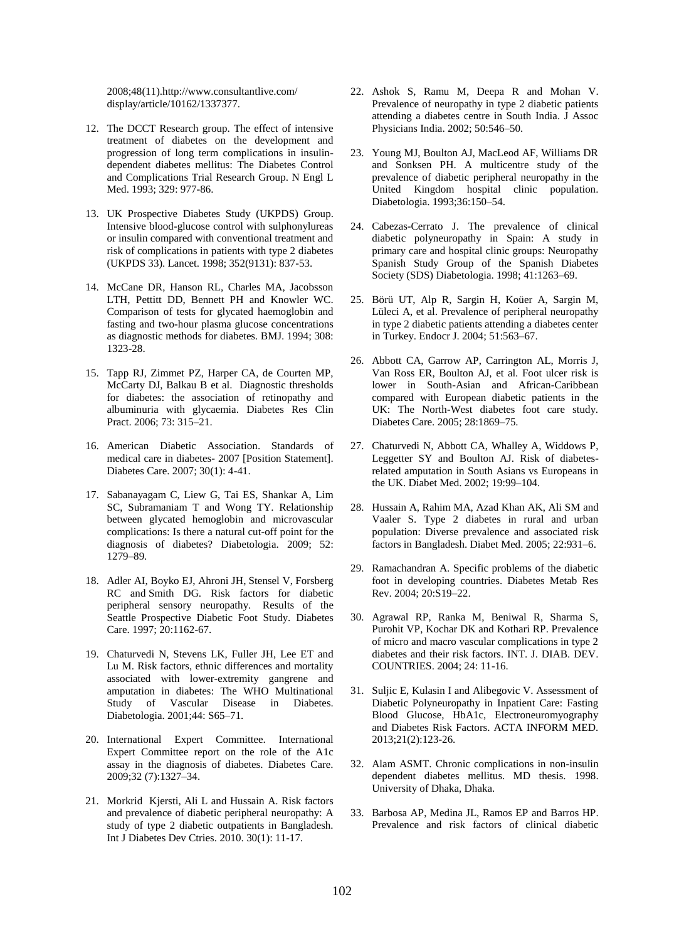2008;48(11).http://www.consultantlive.com/ display/article/10162/1337377.

- 12. The DCCT Research group. The effect of intensive treatment of diabetes on the development and progression of long term complications in insulindependent diabetes mellitus: The Diabetes Control and Complications Trial Research Group. N Engl L Med. 1993; 329: 977-86.
- 13. UK Prospective Diabetes Study (UKPDS) Group. Intensive blood-glucose control with sulphonylureas or insulin compared with conventional treatment and risk of complications in patients with type 2 diabetes (UKPDS 33). Lancet. 1998; 352(9131): 837-53.
- 14. McCane DR, Hanson RL, Charles MA, Jacobsson LTH, Pettitt DD, Bennett PH and Knowler WC. Comparison of tests for glycated haemoglobin and fasting and two-hour plasma glucose concentrations as diagnostic methods for diabetes. BMJ. 1994; 308: 1323-28.
- 15. Tapp RJ, Zimmet PZ, Harper CA, de Courten MP, McCarty DJ, Balkau B et al. Diagnostic thresholds for diabetes: the association of retinopathy and albuminuria with glycaemia. Diabetes Res Clin Pract. 2006; 73: 315–21.
- 16. American Diabetic Association. Standards of medical care in diabetes- 2007 [Position Statement]. Diabetes Care. 2007; 30(1): 4-41.
- 17. Sabanayagam C, Liew G, Tai ES, Shankar A, Lim SC, Subramaniam T and Wong TY. Relationship between glycated hemoglobin and microvascular complications: Is there a natural cut-off point for the diagnosis of diabetes? Diabetologia. 2009; 52: 1279–89.
- 18. Adler AI, Boyko EJ, Ahroni JH, [Stensel V,](http://www.ncbi.nlm.nih.gov/pubmed/?term=Stensel%20V%5BAuthor%5D&cauthor=true&cauthor_uid=9203456) [Forsberg](http://www.ncbi.nlm.nih.gov/pubmed/?term=Forsberg%20RC%5BAuthor%5D&cauthor=true&cauthor_uid=9203456)  [RC](http://www.ncbi.nlm.nih.gov/pubmed/?term=Forsberg%20RC%5BAuthor%5D&cauthor=true&cauthor_uid=9203456) and [Smith DG.](http://www.ncbi.nlm.nih.gov/pubmed/?term=Smith%20DG%5BAuthor%5D&cauthor=true&cauthor_uid=9203456) Risk factors for diabetic peripheral sensory neuropathy. Results of the Seattle Prospective Diabetic Foot Study. Diabetes Care. 1997; 20:1162-67.
- 19. Chaturvedi N, Stevens LK, Fuller JH, Lee ET and Lu M. Risk factors, ethnic differences and mortality associated with lower-extremity gangrene and amputation in diabetes: The WHO Multinational Study of Vascular Disease in Diabetes. Diabetologia. 2001;44: S65–71.
- 20. International Expert Committee. International Expert Committee report on the role of the A1c assay in the diagnosis of diabetes. Diabetes Care. 2009;32 (7):1327–34.
- 21. Morkrid Kjersti, Ali L and Hussain A. Risk factors and prevalence of diabetic peripheral neuropathy: A study of type 2 diabetic outpatients in Bangladesh. Int J Diabetes Dev Ctries. 2010. 30(1): 11-17.
- 22. Ashok S, Ramu M, Deepa R and Mohan V. Prevalence of neuropathy in type 2 diabetic patients attending a diabetes centre in South India. J Assoc Physicians India. 2002; 50:546–50.
- 23. Young MJ, Boulton AJ, MacLeod AF, Williams DR and Sonksen PH. A multicentre study of the prevalence of diabetic peripheral neuropathy in the United Kingdom hospital clinic population. Diabetologia. 1993;36:150–54.
- 24. Cabezas-Cerrato J. The prevalence of clinical diabetic polyneuropathy in Spain: A study in primary care and hospital clinic groups: Neuropathy Spanish Study Group of the Spanish Diabetes Society (SDS) Diabetologia. 1998; 41:1263–69.
- 25. Börü UT, Alp R, Sargin H, Koüer A, Sargin M, Lüleci A, et al. Prevalence of peripheral neuropathy in type 2 diabetic patients attending a diabetes center in Turkey. Endocr J. 2004; 51:563–67.
- 26. Abbott CA, Garrow AP, Carrington AL, Morris J, Van Ross ER, Boulton AJ, et al. Foot ulcer risk is lower in South-Asian and African-Caribbean compared with European diabetic patients in the UK: The North-West diabetes foot care study. Diabetes Care. 2005; 28:1869–75.
- 27. Chaturvedi N, Abbott CA, Whalley A, Widdows P, Leggetter SY and Boulton AJ. Risk of diabetesrelated amputation in South Asians vs Europeans in the UK. Diabet Med. 2002; 19:99–104.
- 28. Hussain A, Rahim MA, Azad Khan AK, Ali SM and Vaaler S. Type 2 diabetes in rural and urban population: Diverse prevalence and associated risk factors in Bangladesh. Diabet Med. 2005; 22:931–6.
- 29. Ramachandran A. Specific problems of the diabetic foot in developing countries. Diabetes Metab Res Rev. 2004; 20:S19–22.
- 30. Agrawal RP, Ranka M, Beniwal R, Sharma S, Purohit VP, Kochar DK and Kothari RP. Prevalence of micro and macro vascular complications in type 2 diabetes and their risk factors. INT. J. DIAB. DEV. COUNTRIES. 2004; 24: 11-16.
- 31. Suljic E, Kulasin I and Alibegovic V. Assessment of Diabetic Polyneuropathy in Inpatient Care: Fasting Blood Glucose, HbA1c, Electroneuromyography and Diabetes Risk Factors. ACTA INFORM MED. 2013;21(2):123-26.
- 32. Alam ASMT. Chronic complications in non-insulin dependent diabetes mellitus. MD thesis. 1998. University of Dhaka, Dhaka.
- 33. Barbosa AP, Medina JL, Ramos EP and Barros HP. Prevalence and risk factors of clinical diabetic